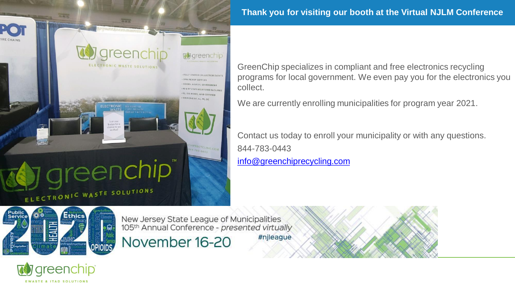# **Thank you for visiting our booth at the Virtual NJLM Conference**

ELECTRONIC WASTE SOLUTIONS Public<br>Service Ethics OPIOIDS.

*greenchip* 

EWASTE & ITAD SOLUTIONS

**MUNICIPAL PROGRAM** 

ELECTRONIC

reenchip

eend

New Jersey State League of Municipalities<br>105<sup>th</sup> Annual Conference - presented virtually

**To** areenchip

FULLY STAFFED COLLECTION EVENTS **PW PICKUP SERVICES & NY STATE REGISTERED FACILITIES R2, ISO, OSHAS, NAID CERTIFIED** TRYICING NY, NJ, PA. DC

November 16-20

#njleague

GreenChip specializes in compliant and free electronics recycling programs for local government. We even pay you for the electronics you collect.

We are currently enrolling municipalities for program year 2021.

Contact us today to enroll your municipality or with any questions. 844-783-0443 [info@greenchiprecycling.com](mailto:info@greenchiprecycling.com?subject=NJLM%202020%20Recycling%20Inquiry)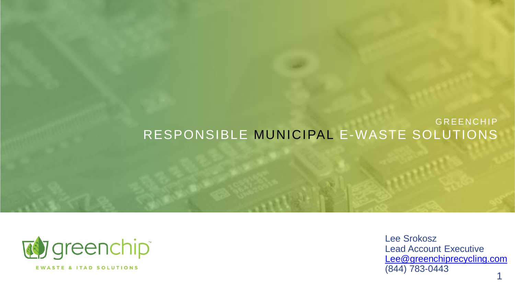### **GREENCHIP** RESPONSIBLE MUNICIPAL E-WASTE SOLUTIONS



Lee Srokosz Lead Account Executive [Lee@greenchiprecycling.com](mailto:Lee@greenchiprecycling.com) (844) 783-0443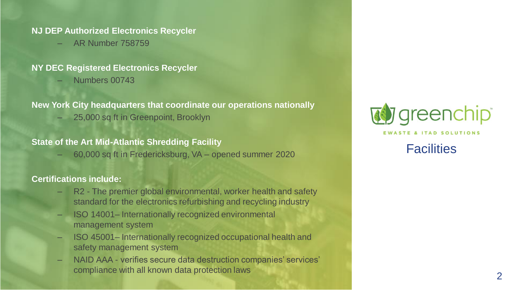#### **NJ DEP Authorized Electronics Recycler**

– AR Number 758759

#### **NY DEC Registered Electronics Recycler**

– Numbers 00743

#### **New York City headquarters that coordinate our operations nationally**

– 25,000 sq ft in Greenpoint, Brooklyn

### **State of the Art Mid-Atlantic Shredding Facility**

– 60,000 sq ft in Fredericksburg, VA – opened summer 2020

### **Certifications include:**

- R2 The premier global environmental, worker health and safety standard for the electronics refurbishing and recycling industry
- ISO 14001– Internationally recognized environmental management system
- ISO 45001– Internationally recognized occupational health and safety management system
- NAID AAA verifies secure data destruction companies' services' compliance with all known data protection laws 2000 and 2000 and 2000 and 2000 and 2000 and 2000 and 2000 and 2000  $\sigma$



#### **FWASTE & ITAD SOLUTIONS**

**Facilities**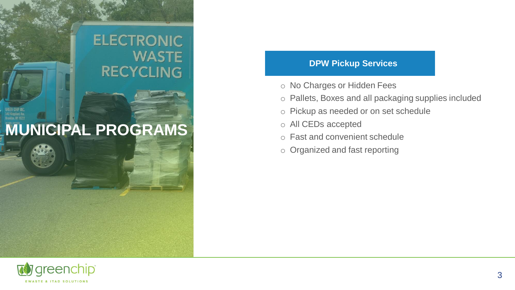### **ELECTRONIC WASTE RECYCLING**

### **MUNICIPAL PROGRAMS**

### **DPW Pickup Services**

- o No Charges or Hidden Fees
- o Pallets, Boxes and all packaging supplies included
- o Pickup as needed or on set schedule
- o All CEDs accepted
- o Fast and convenient schedule
- o Organized and fast reporting

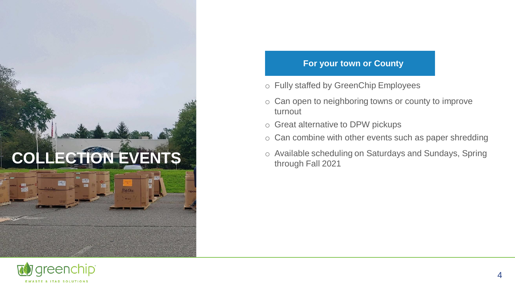

### **For your town or County**

- o Fully staffed by GreenChip Employees
- o Can open to neighboring towns or county to improve turnout
- o Great alternative to DPW pickups
- o Can combine with other events such as paper shredding
- o Available scheduling on Saturdays and Sundays, Spring through Fall 2021

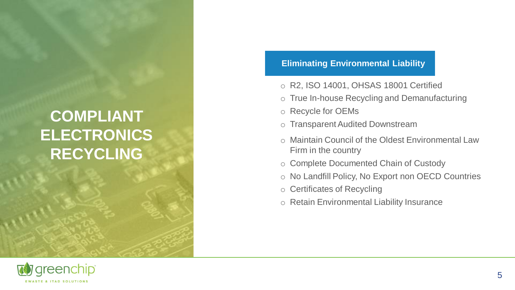## **COMPLIANT ELECTRONICS RECYCLING**

### **Eliminating Environmental Liability**

- o R2, ISO 14001, OHSAS 18001 Certified
- o True In-house Recycling and Demanufacturing
- o Recycle for OEMs
- o Transparent Audited Downstream
- o Maintain Council of the Oldest Environmental Law Firm in the country
- o Complete Documented Chain of Custody
- o No Landfill Policy, No Export non OECD Countries
- o Certificates of Recycling
- o Retain Environmental Liability Insurance

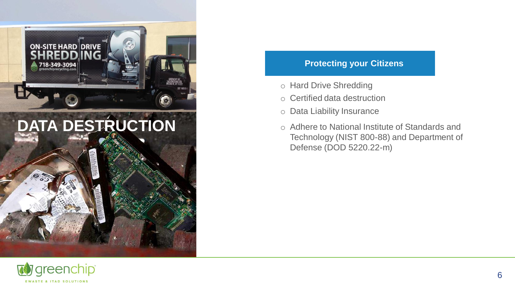



#### **Protecting your Citizens**

- o Hard Drive Shredding
- o Certified data destruction
- o Data Liability Insurance
- o Adhere to National Institute of Standards and Technology (NIST 800-88) and Department of Defense (DOD 5220.22-m)

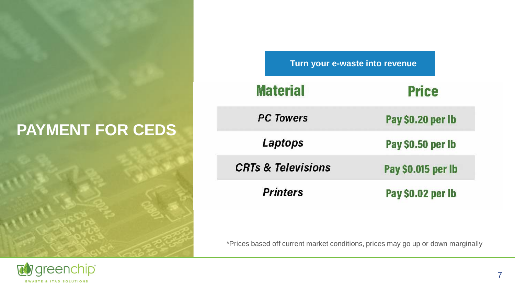## **PAYMENT FOR CEDS**



| Turn your e-waste into revenue |                    |  |  |  |  |  |
|--------------------------------|--------------------|--|--|--|--|--|
| <b>Material</b>                | <b>Price</b>       |  |  |  |  |  |
| <b>PC Towers</b>               | Pay \$0.20 per lb  |  |  |  |  |  |
| Laptops                        | Pay \$0.50 per lb  |  |  |  |  |  |
| <b>CRTs &amp; Televisions</b>  | Pay \$0.015 per lb |  |  |  |  |  |
| <b>Printers</b>                | Pay \$0.02 per lb  |  |  |  |  |  |

\*Prices based off current market conditions, prices may go up or down marginally

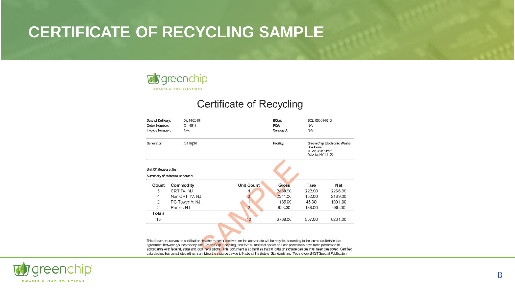### **CERTIFICATE OF RECYCLING SAMPLE**



### **Certificate of Recycling**

| Date of Delivery:      | 08/14/2019                          |                   | BOL#:        | BOL-000014513<br>N/A                                                                      |            |  |  |
|------------------------|-------------------------------------|-------------------|--------------|-------------------------------------------------------------------------------------------|------------|--|--|
| <b>Order Number:</b>   | O-14513                             |                   | PO#:         |                                                                                           |            |  |  |
| <b>Invoice Number:</b> | <b>N/A</b>                          |                   |              |                                                                                           | <b>N/A</b> |  |  |
| Sample<br>Generator    |                                     |                   | Facility:    | Green Chip Electronic Waste<br><b>Solutions</b><br>19-36 38th street<br>Astoria, NY 11105 |            |  |  |
| Unit Of Measure: Ibs   |                                     |                   |              |                                                                                           |            |  |  |
|                        | <b>Summary of Material Received</b> |                   |              |                                                                                           |            |  |  |
| Count                  | Commodity                           | <b>Unit Count</b> | <b>Gross</b> | Tare                                                                                      | <b>Net</b> |  |  |
| 5                      | CRT TV: NJ                          | 4                 | 2488.00      | 222.00                                                                                    | 2266.00    |  |  |
| $\overline{4}$         | Non CRT TV: NJ                      |                   | 2341.00      | 152.00                                                                                    | 2189.00    |  |  |
| $\overline{2}$         | PC Tower A: NJ                      |                   | 1136,00      | 45.00                                                                                     | 1091.00    |  |  |
| $\overline{2}$         | Printer: NJ                         | $\overline{2}$    | 823.00       | 138.00                                                                                    | 685.00     |  |  |
| <b>Totals</b>          |                                     |                   |              |                                                                                           |            |  |  |

This document serves as certification that the material received on the above date will be recycled according to the terms set forth in the agreement between your company and Green Chip Recycling, and that all material operations and processes have been performed in accordance with federal, state and local regulations. This document also certifies that all data on storage devices has been destroyed. Certified data destruction constitutes either, sanitizing the storage device to National Institute of Standards and Technology (NIST Special Publication

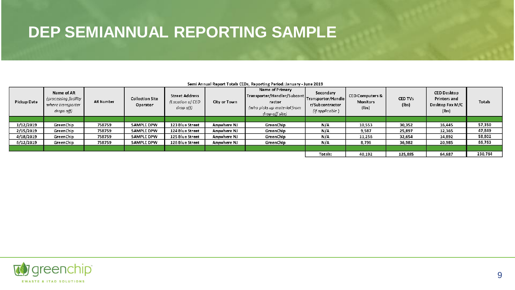### **DEP SEMIANNUAL REPORTING SAMPLE**

| Pickup Date | Name of AR<br>(processing facility<br>where transporter<br>drops off) | <b>AR Number</b> | <b>Collection Site</b><br>Operator | <b>Street Address</b><br>(Location of CED<br>drop off) | City or Town | Name of Primary<br>ractor<br>(who picks up material from<br>drop-off site) | Secondary<br>r/Subcontractor<br>(if applicable) | <b>CED Computers &amp;</b><br><b>Monitors</b><br>(lbs) | <b>CED TVs</b><br>$($ lbs $)$ | <b>CED Desktop</b><br>Printers and<br>Desktop Fax M/C<br>(lbs) | <b>Totals</b> |
|-------------|-----------------------------------------------------------------------|------------------|------------------------------------|--------------------------------------------------------|--------------|----------------------------------------------------------------------------|-------------------------------------------------|--------------------------------------------------------|-------------------------------|----------------------------------------------------------------|---------------|
| 1/12/2019   | GreenChip                                                             | 758759           | <b>SAMPLE DPW</b>                  | 123 Blue Street                                        | Anywhere NJ  | GreenChip                                                                  | N/A                                             | 10,553                                                 | 30,352                        | 16,445                                                         | 57,350        |
|             |                                                                       |                  |                                    |                                                        |              |                                                                            |                                                 |                                                        |                               |                                                                |               |
| 2/15/2019   | <b>Green Chip</b>                                                     | 758759           | <b>SAMPLE DPW</b>                  | 124 Blue Street                                        | Anywhere NJ  | GreenChip                                                                  | N/A                                             | 9,587                                                  | 25,897                        | 12,365                                                         | 47,849        |
| 4/18/2019   | GreenChip                                                             | 758759           | <b>SAMPLE DPW</b>                  | 125 Blue Street                                        | Anywhere NJ  | GreenChip                                                                  | N/A                                             | 11,256                                                 | 32,654                        | 14.892                                                         | 58,802        |
| 6/12/2019   | <b>Green Chip</b>                                                     | 758759           | <b>SAMPLE DPW</b>                  | 126 Blue Street                                        | Anywhere NJ  | GreenChip                                                                  | N/A                                             | 8,796                                                  | 36,982                        | 20,985                                                         | 66,763        |
|             |                                                                       |                  |                                    |                                                        |              |                                                                            |                                                 |                                                        |                               |                                                                |               |
|             |                                                                       |                  |                                    |                                                        | Totals:      | 40,192                                                                     | 125,885                                         | 64.687                                                 | 230,764                       |                                                                |               |

#### Semi Annual Report Totals CEDs, Reporting Period: January - June 2019